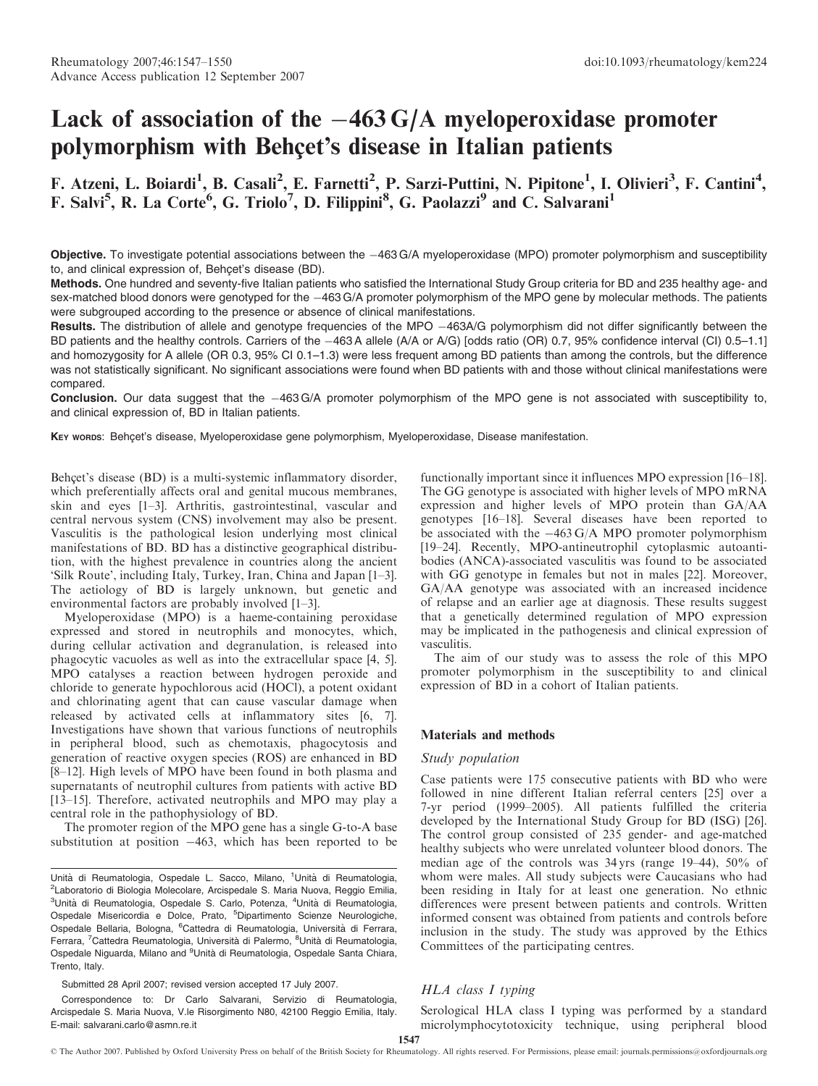# Lack of association of the  $-463 \text{ G/A}$  myeloperoxidase promoter polymorphism with Behçet's disease in Italian patients

# F. Atzeni, L. Boiardi<sup>1</sup>, B. Casali<sup>2</sup>, E. Farnetti<sup>2</sup>, P. Sarzi-Puttini, N. Pipitone<sup>1</sup>, I. Olivieri<sup>3</sup>, F. Cantini<sup>4</sup>, F. Salvi<sup>5</sup>, R. La Corte<sup>6</sup>, G. Triolo<sup>7</sup>, D. Filippini<sup>8</sup>, G. Paolazzi<sup>9</sup> and C. Salvarani<sup>1</sup>

Objective. To investigate potential associations between the  $-463 G/A$  myeloperoxidase (MPO) promoter polymorphism and susceptibility to, and clinical expression of, Behcet's disease (BD).

Methods. One hundred and seventy-five Italian patients who satisfied the International Study Group criteria for BD and 235 healthy age- and sex-matched blood donors were genotyped for the -463 G/A promoter polymorphism of the MPO gene by molecular methods. The patients were subgrouped according to the presence or absence of clinical manifestations.

Results. The distribution of allele and genotype frequencies of the MPO -463A/G polymorphism did not differ significantly between the BD patients and the healthy controls. Carriers of the -463 A allele (A/A or A/G) [odds ratio (OR) 0.7, 95% confidence interval (CI) 0.5–1.1] and homozygosity for A allele (OR 0.3, 95% CI 0.1–1.3) were less frequent among BD patients than among the controls, but the difference was not statistically significant. No significant associations were found when BD patients with and those without clinical manifestations were compared.

Conclusion. Our data suggest that the -463 G/A promoter polymorphism of the MPO gene is not associated with susceptibility to, and clinical expression of, BD in Italian patients.

KEY words: Behçet's disease, Myeloperoxidase gene polymorphism, Myeloperoxidase, Disease manifestation.

Behcet's disease (BD) is a multi-systemic inflammatory disorder, which preferentially affects oral and genital mucous membranes, skin and eyes [1–3]. Arthritis, gastrointestinal, vascular and central nervous system (CNS) involvement may also be present. Vasculitis is the pathological lesion underlying most clinical manifestations of BD. BD has a distinctive geographical distribution, with the highest prevalence in countries along the ancient 'Silk Route', including Italy, Turkey, Iran, China and Japan [1–3]. The aetiology of BD is largely unknown, but genetic and environmental factors are probably involved [1–3].

Myeloperoxidase (MPO) is a haeme-containing peroxidase expressed and stored in neutrophils and monocytes, which, during cellular activation and degranulation, is released into phagocytic vacuoles as well as into the extracellular space [4, 5]. MPO catalyses a reaction between hydrogen peroxide and chloride to generate hypochlorous acid (HOCl), a potent oxidant and chlorinating agent that can cause vascular damage when released by activated cells at inflammatory sites [6, 7]. Investigations have shown that various functions of neutrophils in peripheral blood, such as chemotaxis, phagocytosis and generation of reactive oxygen species (ROS) are enhanced in BD [8–12]. High levels of MPO have been found in both plasma and supernatants of neutrophil cultures from patients with active BD [13–15]. Therefore, activated neutrophils and MPO may play a central role in the pathophysiology of BD.

The promoter region of the MPO gene has a single G-to-A base substitution at position  $-463$ , which has been reported to be

Submitted 28 April 2007; revised version accepted 17 July 2007.

Correspondence to: Dr Carlo Salvarani, Servizio di Reumatologia, Arcispedale S. Maria Nuova, V.le Risorgimento N80, 42100 Reggio Emilia, Italy. E-mail: salvarani.carlo@asmn.re.it

functionally important since it influences MPO expression [16–18]. The GG genotype is associated with higher levels of MPO mRNA expression and higher levels of MPO protein than GA/AA genotypes [16–18]. Several diseases have been reported to be associated with the  $-463 \text{ G/A}$  MPO promoter polymorphism [19–24]. Recently, MPO-antineutrophil cytoplasmic autoantibodies (ANCA)-associated vasculitis was found to be associated with GG genotype in females but not in males [22]. Moreover, GA/AA genotype was associated with an increased incidence of relapse and an earlier age at diagnosis. These results suggest that a genetically determined regulation of MPO expression may be implicated in the pathogenesis and clinical expression of vasculitis.

The aim of our study was to assess the role of this MPO promoter polymorphism in the susceptibility to and clinical expression of BD in a cohort of Italian patients.

#### Materials and methods

#### Study population

Case patients were 175 consecutive patients with BD who were followed in nine different Italian referral centers [25] over a 7-yr period (1999–2005). All patients fulfilled the criteria developed by the International Study Group for BD (ISG) [26]. The control group consisted of 235 gender- and age-matched healthy subjects who were unrelated volunteer blood donors. The median age of the controls was 34 yrs (range 19–44), 50% of whom were males. All study subjects were Caucasians who had been residing in Italy for at least one generation. No ethnic differences were present between patients and controls. Written informed consent was obtained from patients and controls before inclusion in the study. The study was approved by the Ethics Committees of the participating centres.

# HLA class I typing

Serological HLA class I typing was performed by a standard microlymphocytotoxicity technique, using peripheral blood

Unità di Reumatologia, Ospedale L. Sacco, Milano, <sup>1</sup>Unità di Reumatologia, <sup>2</sup>Laboratorio di Biologia Molecolare, Arcispedale S. Maria Nuova, Reggio Emilia, <sup>3</sup>Unità di Reumatologia, Ospedale S. Carlo, Potenza, <sup>4</sup>Unità di Reumatologia, Ospedale Misericordia e Dolce, Prato, <sup>5</sup>Dipartimento Scienze Neurologiche, Ospedale Bellaria, Bologna, <sup>6</sup>Cattedra di Reumatologia, Università di Ferrara, Ferrara, <sup>7</sup>Cattedra Reumatologia, Università di Palermo, <sup>8</sup>Unità di Reumatologia, Ospedale Niguarda, Milano and <sup>9</sup>Unità di Reumatologia, Ospedale Santa Chiara, Trento, Italy.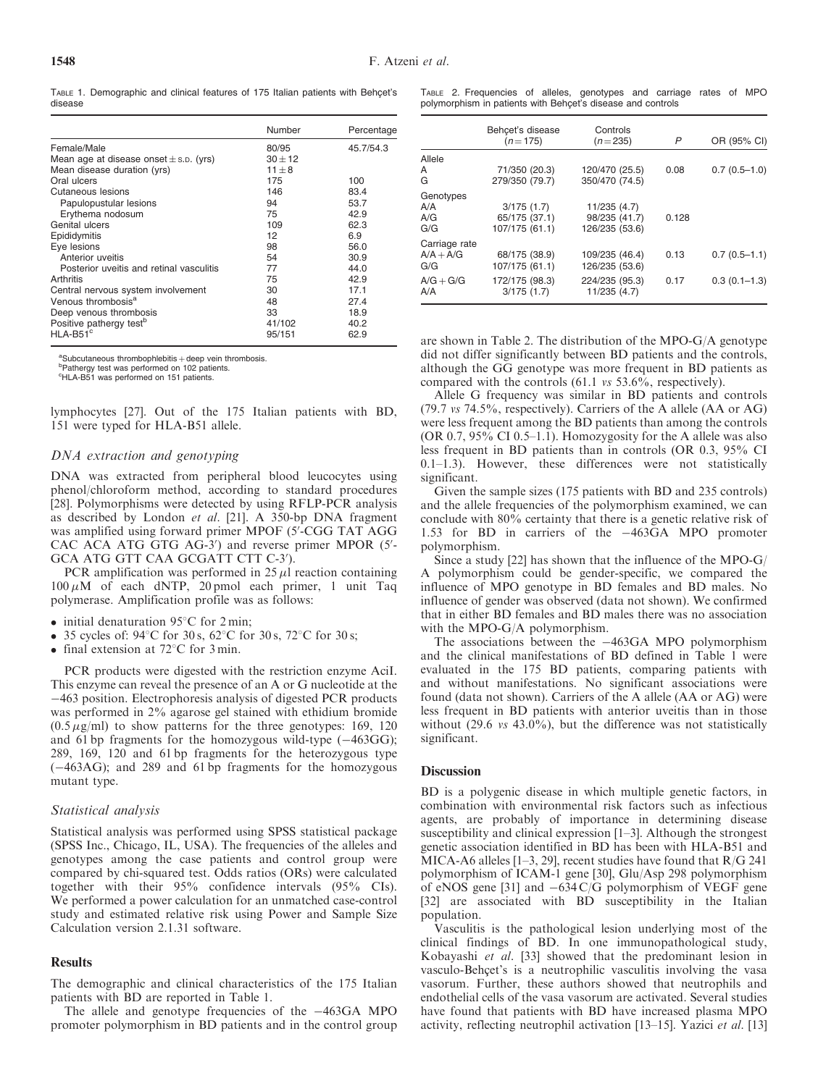TABLE 1. Demographic and clinical features of 175 Italian patients with Behcet's disease

|                                            | Number      | Percentage |
|--------------------------------------------|-------------|------------|
| Female/Male                                | 80/95       | 45.7/54.3  |
| Mean age at disease onset $\pm$ s.p. (yrs) | $30 \pm 12$ |            |
| Mean disease duration (yrs)                | $11 + 8$    |            |
| Oral ulcers                                | 175         | 100        |
| Cutaneous lesions                          | 146         | 83.4       |
| Papulopustular lesions                     | 94          | 53.7       |
| Erythema nodosum                           | 75          | 42.9       |
| Genital ulcers                             | 109         | 62.3       |
| Epididymitis                               | 12          | 6.9        |
| Eye lesions                                | 98          | 56.0       |
| Anterior uveitis                           | 54          | 30.9       |
| Posterior uveitis and retinal vasculitis   | 77          | 44.0       |
| Arthritis                                  | 75          | 42.9       |
| Central nervous system involvement         | 30          | 17.1       |
| Venous thrombosis <sup>a</sup>             | 48          | 27.4       |
| Deep venous thrombosis                     | 33          | 18.9       |
| Positive pathergy test <sup>b</sup>        | 41/102      | 40.2       |
| $HLA-B51c$                                 | 95/151      | 62.9       |

<sup>a</sup>Subcutaneous thrombophlebitis  $+$  deep vein thrombosis.

<sup>b</sup>Pathergy test was performed on 102 patients

c HLA-B51 was performed on 151 patients.

lymphocytes [27]. Out of the 175 Italian patients with BD, 151 were typed for HLA-B51 allele.

# DNA extraction and genotyping

DNA was extracted from peripheral blood leucocytes using phenol/chloroform method, according to standard procedures [28]. Polymorphisms were detected by using RFLP-PCR analysis as described by London et al. [21]. A 350-bp DNA fragment was amplified using forward primer MPOF (5'-CGG TAT AGG CAC ACA ATG GTG AG-3') and reverse primer MPOR (5'-GCA ATG GTT CAA GCGATT CTT C-3').

PCR amplification was performed in  $25 \mu l$  reaction containing  $100 \mu M$  of each dNTP, 20 pmol each primer, 1 unit Taq polymerase. Amplification profile was as follows:

- $\bullet$  initial denaturation 95°C for 2 min;
- 35 cycles of:  $94^{\circ}$ C for 30 s,  $62^{\circ}$ C for 30 s,  $72^{\circ}$ C for 30 s;
- final extension at  $72^{\circ}$ C for 3 min.

PCR products were digested with the restriction enzyme AciI. This enzyme can reveal the presence of an A or G nucleotide at the 463 position. Electrophoresis analysis of digested PCR products was performed in 2% agarose gel stained with ethidium bromide  $(0.5 \,\mu\text{g/ml})$  to show patterns for the three genotypes: 169, 120 and 61 bp fragments for the homozygous wild-type  $(-463GG)$ ; 289, 169, 120 and 61 bp fragments for the heterozygous type  $(-463AG)$ ; and 289 and 61 bp fragments for the homozygous mutant type.

#### Statistical analysis

Statistical analysis was performed using SPSS statistical package (SPSS Inc., Chicago, IL, USA). The frequencies of the alleles and genotypes among the case patients and control group were compared by chi-squared test. Odds ratios (ORs) were calculated together with their 95% confidence intervals (95% CIs). We performed a power calculation for an unmatched case-control study and estimated relative risk using Power and Sample Size Calculation version 2.1.31 software.

#### Results

The demographic and clinical characteristics of the 175 Italian patients with BD are reported in Table 1.

The allele and genotype frequencies of the  $-463GA$  MPO promoter polymorphism in BD patients and in the control group

TABLE 2. Frequencies of alleles, genotypes and carriage rates of MPO polymorphism in patients with Behcet's disease and controls

|                                     | Behcet's disease<br>$(n=175)$                 | Controls<br>$(n=235)$                           | P     | OR (95% CI)    |
|-------------------------------------|-----------------------------------------------|-------------------------------------------------|-------|----------------|
| Allele<br>A<br>G                    | 71/350 (20.3)<br>279/350 (79.7)               | 120/470 (25.5)<br>350/470 (74.5)                | 0.08  | $0.7(0.5-1.0)$ |
| Genotypes<br>A/A<br>A/G<br>G/G      | 3/175(1.7)<br>65/175 (37.1)<br>107/175 (61.1) | 11/235 (4.7)<br>98/235 (41.7)<br>126/235 (53.6) | 0.128 |                |
| Carriage rate<br>$A/A + A/G$<br>G/G | 68/175 (38.9)<br>107/175 (61.1)               | 109/235 (46.4)<br>126/235 (53.6)                | 0.13  | $0.7(0.5-1.1)$ |
| $A/G + G/G$<br>A/A                  | 172/175 (98.3)<br>3/175(1.7)                  | 224/235 (95.3)<br>11/235 (4.7)                  | 0.17  | $0.3(0.1-1.3)$ |

are shown in Table 2. The distribution of the MPO-G/A genotype did not differ significantly between BD patients and the controls, although the GG genotype was more frequent in BD patients as compared with the controls (61.1 vs 53.6%, respectively).

Allele G frequency was similar in BD patients and controls (79.7 vs 74.5%, respectively). Carriers of the A allele (AA or AG) were less frequent among the BD patients than among the controls (OR 0.7,  $95\%$  CI 0.5–1.1). Homozygosity for the A allele was also less frequent in BD patients than in controls (OR 0.3, 95% CI 0.1–1.3). However, these differences were not statistically significant.

Given the sample sizes (175 patients with BD and 235 controls) and the allele frequencies of the polymorphism examined, we can conclude with 80% certainty that there is a genetic relative risk of 1.53 for BD in carriers of the 463GA MPO promoter polymorphism.

Since a study [22] has shown that the influence of the MPO-G/ A polymorphism could be gender-specific, we compared the influence of MPO genotype in BD females and BD males. No influence of gender was observed (data not shown). We confirmed that in either BD females and BD males there was no association with the MPO-G/A polymorphism.

The associations between the  $-463GA$  MPO polymorphism and the clinical manifestations of BD defined in Table 1 were evaluated in the 175 BD patients, comparing patients with and without manifestations. No significant associations were found (data not shown). Carriers of the A allele (AA or AG) were less frequent in BD patients with anterior uveitis than in those without (29.6 *vs* 43.0%), but the difference was not statistically significant.

# **Discussion**

BD is a polygenic disease in which multiple genetic factors, in combination with environmental risk factors such as infectious agents, are probably of importance in determining disease susceptibility and clinical expression [1–3]. Although the strongest genetic association identified in BD has been with HLA-B51 and MICA-A6 alleles [1–3, 29], recent studies have found that R/G 241 polymorphism of ICAM-1 gene [30], Glu/Asp 298 polymorphism of eNOS gene [31] and  $-634 \text{ C/G}$  polymorphism of VEGF gene [32] are associated with BD susceptibility in the Italian population.

Vasculitis is the pathological lesion underlying most of the clinical findings of BD. In one immunopathological study, Kobayashi et al. [33] showed that the predominant lesion in vasculo-Behcet's is a neutrophilic vasculitis involving the vasa vasorum. Further, these authors showed that neutrophils and endothelial cells of the vasa vasorum are activated. Several studies have found that patients with BD have increased plasma MPO activity, reflecting neutrophil activation [13–15]. Yazici et al. [13]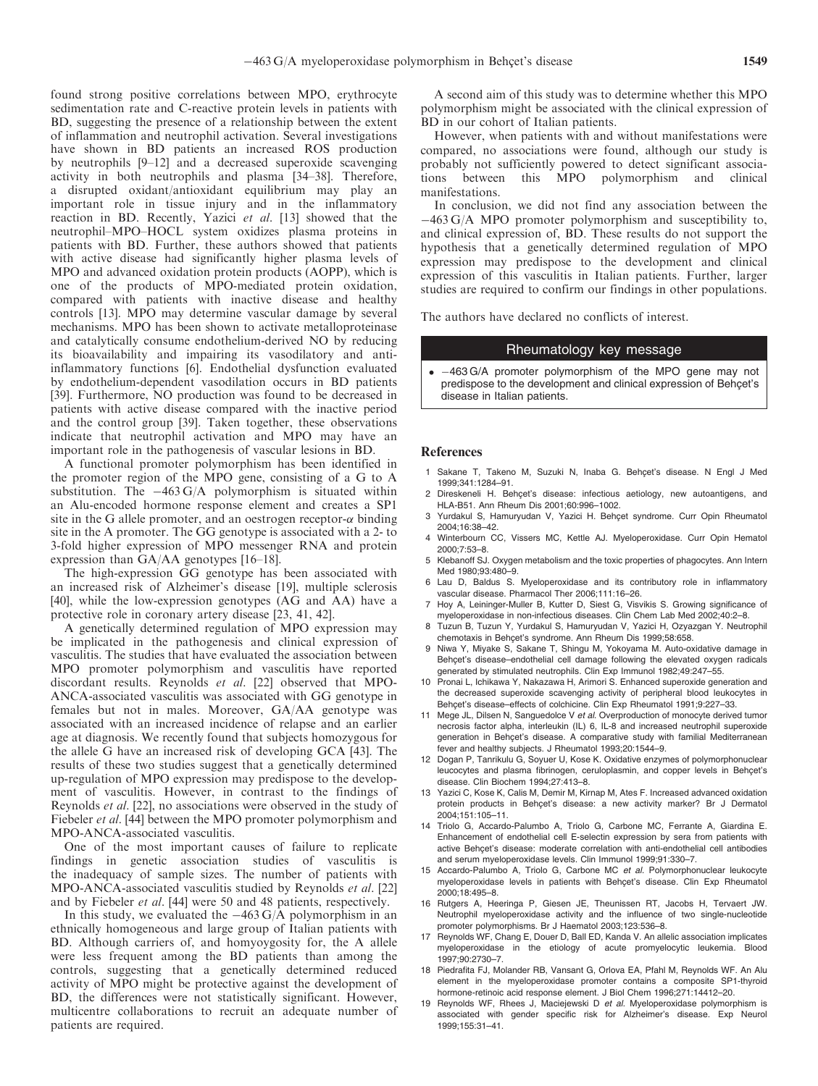found strong positive correlations between MPO, erythrocyte sedimentation rate and C-reactive protein levels in patients with BD, suggesting the presence of a relationship between the extent of inflammation and neutrophil activation. Several investigations have shown in BD patients an increased ROS production by neutrophils [9–12] and a decreased superoxide scavenging activity in both neutrophils and plasma [34–38]. Therefore, a disrupted oxidant/antioxidant equilibrium may play an important role in tissue injury and in the inflammatory reaction in BD. Recently, Yazici et al. [13] showed that the neutrophil–MPO–HOCL system oxidizes plasma proteins in patients with BD. Further, these authors showed that patients with active disease had significantly higher plasma levels of MPO and advanced oxidation protein products (AOPP), which is one of the products of MPO-mediated protein oxidation, compared with patients with inactive disease and healthy controls [13]. MPO may determine vascular damage by several mechanisms. MPO has been shown to activate metalloproteinase and catalytically consume endothelium-derived NO by reducing its bioavailability and impairing its vasodilatory and antiinflammatory functions [6]. Endothelial dysfunction evaluated by endothelium-dependent vasodilation occurs in BD patients [39]. Furthermore, NO production was found to be decreased in patients with active disease compared with the inactive period and the control group [39]. Taken together, these observations indicate that neutrophil activation and MPO may have an important role in the pathogenesis of vascular lesions in BD.

A functional promoter polymorphism has been identified in the promoter region of the MPO gene, consisting of a G to A substitution. The  $-463 \text{ G/A}$  polymorphism is situated within an Alu-encoded hormone response element and creates a SP1 site in the G allele promoter, and an oestrogen receptor- $\alpha$  binding site in the A promoter. The GG genotype is associated with a 2- to 3-fold higher expression of MPO messenger RNA and protein expression than GA/AA genotypes [16–18].

The high-expression GG genotype has been associated with an increased risk of Alzheimer's disease [19], multiple sclerosis [40], while the low-expression genotypes (AG and AA) have a protective role in coronary artery disease [23, 41, 42].

A genetically determined regulation of MPO expression may be implicated in the pathogenesis and clinical expression of vasculitis. The studies that have evaluated the association between MPO promoter polymorphism and vasculitis have reported discordant results. Reynolds et al. [22] observed that MPO-ANCA-associated vasculitis was associated with GG genotype in females but not in males. Moreover, GA/AA genotype was associated with an increased incidence of relapse and an earlier age at diagnosis. We recently found that subjects homozygous for the allele G have an increased risk of developing GCA [43]. The results of these two studies suggest that a genetically determined up-regulation of MPO expression may predispose to the development of vasculitis. However, in contrast to the findings of Reynolds et al. [22], no associations were observed in the study of Fiebeler *et al.* [44] between the MPO promoter polymorphism and MPO-ANCA-associated vasculitis.

One of the most important causes of failure to replicate findings in genetic association studies of vasculitis is the inadequacy of sample sizes. The number of patients with MPO-ANCA-associated vasculitis studied by Reynolds et al. [22] and by Fiebeler et al. [44] were 50 and 48 patients, respectively.

In this study, we evaluated the  $-463 \text{ G/A}$  polymorphism in an ethnically homogeneous and large group of Italian patients with BD. Although carriers of, and homyoygosity for, the A allele were less frequent among the BD patients than among the controls, suggesting that a genetically determined reduced activity of MPO might be protective against the development of BD, the differences were not statistically significant. However, multicentre collaborations to recruit an adequate number of patients are required.

A second aim of this study was to determine whether this MPO polymorphism might be associated with the clinical expression of BD in our cohort of Italian patients.

However, when patients with and without manifestations were compared, no associations were found, although our study is probably not sufficiently powered to detect significant associations between this MPO polymorphism and clinical manifestations.

In conclusion, we did not find any association between the 463 G/A MPO promoter polymorphism and susceptibility to, and clinical expression of, BD. These results do not support the hypothesis that a genetically determined regulation of MPO expression may predispose to the development and clinical expression of this vasculitis in Italian patients. Further, larger studies are required to confirm our findings in other populations.

The authors have declared no conflicts of interest.

### Rheumatology key message

 $\bullet$  463 G/A promoter polymorphism of the MPO gene may not predispose to the development and clinical expression of Behcet's disease in Italian patients.

#### References

- 1 Sakane T, Takeno M, Suzuki N, Inaba G. Behçet's disease. N Engl J Med 1999;341:1284–91.
- 2 Direskeneli H. Behcet's disease: infectious aetiology, new autoantigens, and HLA-B51. Ann Rheum Dis 2001;60:996–1002.
- 3 Yurdakul S, Hamuryudan V, Yazici H. Behçet syndrome. Curr Opin Rheumatol 2004;16:38–42.
- 4 Winterbourn CC, Vissers MC, Kettle AJ. Myeloperoxidase. Curr Opin Hematol 2000;7:53–8.
- 5 Klebanoff SJ. Oxygen metabolism and the toxic properties of phagocytes. Ann Intern Med 1980:93:480-9
- 6 Lau D, Baldus S. Myeloperoxidase and its contributory role in inflammatory vascular disease. Pharmacol Ther 2006;111:16–26.
- 7 Hoy A, Leininger-Muller B, Kutter D, Siest G, Visvikis S. Growing significance of myeloperoxidase in non-infectious diseases. Clin Chem Lab Med 2002;40:2–8.
- 8 Tuzun B, Tuzun Y, Yurdakul S, Hamuryudan V, Yazici H, Ozyazgan Y. Neutrophil chemotaxis in Behcet's syndrome. Ann Rheum Dis 1999;58:658.
- 9 Niwa Y, Miyake S, Sakane T, Shingu M, Yokoyama M. Auto-oxidative damage in Behcet's disease–endothelial cell damage following the elevated oxygen radicals generated by stimulated neutrophils. Clin Exp Immunol 1982;49:247–55.
- 10 Pronai L, Ichikawa Y, Nakazawa H, Arimori S. Enhanced superoxide generation and the decreased superoxide scavenging activity of peripheral blood leukocytes in Behcet's disease–effects of colchicine. Clin Exp Rheumatol 1991;9:227-33.
- 11 Mege JL, Dilsen N, Sanguedolce V et al. Overproduction of monocyte derived tumor necrosis factor alpha, interleukin (IL) 6, IL-8 and increased neutrophil superoxide generation in Behçet's disease. A comparative study with familial Mediterranean fever and healthy subjects. J Rheumatol 1993;20:1544–9.
- 12 Dogan P, Tanrikulu G, Soyuer U, Kose K. Oxidative enzymes of polymorphonuclear leucocytes and plasma fibrinogen, ceruloplasmin, and copper levels in Behçet's disease. Clin Biochem 1994;27:413–8.
- 13 Yazici C, Kose K, Calis M, Demir M, Kirnap M, Ates F. Increased advanced oxidation protein products in Behcet's disease: a new activity marker? Br J Dermatol 2004;151:105–11.
- 14 Triolo G, Accardo-Palumbo A, Triolo G, Carbone MC, Ferrante A, Giardina E. Enhancement of endothelial cell E-selectin expression by sera from patients with active Behcet's disease: moderate correlation with anti-endothelial cell antibodies and serum myeloperoxidase levels. Clin Immunol 1999;91:330–7.
- 15 Accardo-Palumbo A, Triolo G, Carbone MC et al. Polymorphonuclear leukocyte myeloperoxidase levels in patients with Behçet's disease. Clin Exp Rheumatol 2000;18:495–8.
- 16 Rutgers A, Heeringa P, Giesen JE, Theunissen RT, Jacobs H, Tervaert JW. Neutrophil myeloperoxidase activity and the influence of two single-nucleotide promoter polymorphisms. Br J Haematol 2003;123:536–8.
- 17 Reynolds WF, Chang E, Douer D, Ball ED, Kanda V. An allelic association implicates myeloperoxidase in the etiology of acute promyelocytic leukemia. Blood 1997;90:2730–7.
- 18 Piedrafita FJ, Molander RB, Vansant G, Orlova EA, Pfahl M, Reynolds WF. An Alu element in the myeloperoxidase promoter contains a composite SP1-thyroid hormone-retinoic acid response element. J Biol Chem 1996;271:14412–20.
- 19 Reynolds WF, Rhees J. Maciejewski D et al. Myeloperoxidase polymorphism is associated with gender specific risk for Alzheimer's disease. Exp Neurol 1999;155:31–41.